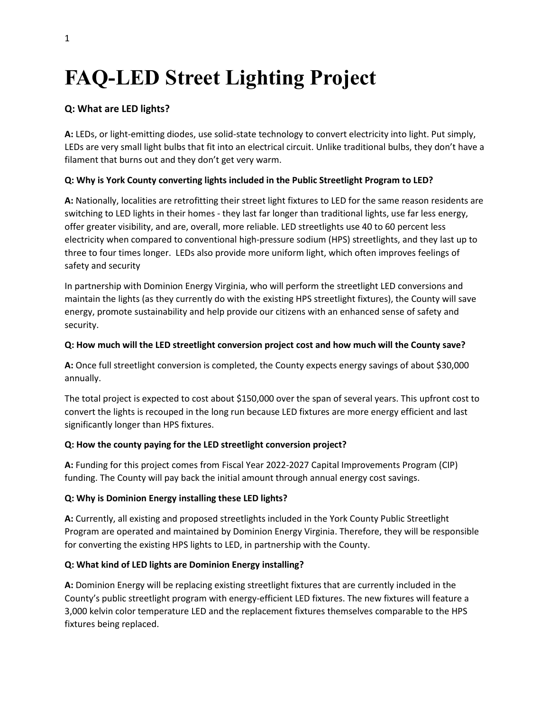# **FAQ-LED Street Lighting Project**

### **Q: What are LED lights?**

**A:** LEDs, or light-emitting diodes, use solid-state technology to convert electricity into light. Put simply, LEDs are very small light bulbs that fit into an electrical circuit. Unlike traditional bulbs, they don't have a filament that burns out and they don't get very warm.

#### **Q: Why is York County converting lights included in the Public Streetlight Program to LED?**

**A:** Nationally, localities are retrofitting their street light fixtures to LED for the same reason residents are switching to LED lights in their homes - they last far longer than traditional lights, use far less energy, offer greater visibility, and are, overall, more reliable. LED streetlights use 40 to 60 percent less electricity when compared to conventional high-pressure sodium (HPS) streetlights, and they last up to three to four times longer. LEDs also provide more uniform light, which often improves feelings of safety and security

In partnership with Dominion Energy Virginia, who will perform the streetlight LED conversions and maintain the lights (as they currently do with the existing HPS streetlight fixtures), the County will save energy, promote sustainability and help provide our citizens with an enhanced sense of safety and security.

#### **Q: How much will the LED streetlight conversion project cost and how much will the County save?**

**A:** Once full streetlight conversion is completed, the County expects energy savings of about \$30,000 annually.

The total project is expected to cost about \$150,000 over the span of several years. This upfront cost to convert the lights is recouped in the long run because LED fixtures are more energy efficient and last significantly longer than HPS fixtures.

#### **Q: How the county paying for the LED streetlight conversion project?**

**A:** Funding for this project comes from Fiscal Year 2022-2027 Capital Improvements Program (CIP) funding. The County will pay back the initial amount through annual energy cost savings.

#### **Q: Why is Dominion Energy installing these LED lights?**

**A:** Currently, all existing and proposed streetlights included in the York County Public Streetlight Program are operated and maintained by Dominion Energy Virginia. Therefore, they will be responsible for converting the existing HPS lights to LED, in partnership with the County.

#### **Q: What kind of LED lights are Dominion Energy installing?**

**A:** Dominion Energy will be replacing existing streetlight fixtures that are currently included in the County's public streetlight program with energy-efficient LED fixtures. The new fixtures will feature a 3,000 kelvin color temperature LED and the replacement fixtures themselves comparable to the HPS fixtures being replaced.